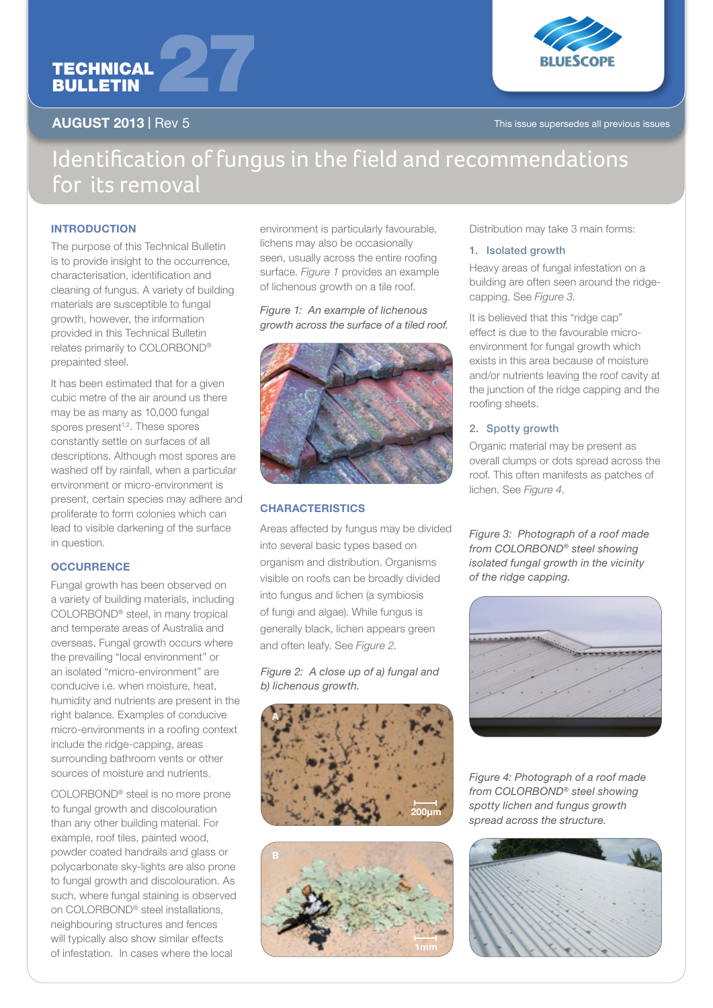# TECHNICAL TECHNICAL 27



AUGUST 2013 | Rev 5 This issue supersedes all previous issues

## Identification of fungus in the field and recommendations for its removal

#### **INTRODUCTION**

The purpose of this Technical Bulletin is to provide insight to the occurrence, characterisation, identification and cleaning of fungus. A variety of building materials are susceptible to fungal growth, however, the information provided in this Technical Bulletin relates primarily to COLORBOND® prepainted steel.

It has been estimated that for a given cubic metre of the air around us there may be as many as 10,000 fungal spores present<sup>1,2</sup>. These spores constantly settle on surfaces of all descriptions. Although most spores are washed off by rainfall, when a particular environment or micro-environment is present, certain species may adhere and proliferate to form colonies which can lead to visible darkening of the surface in question.

#### **OCCURRENCE**

Fungal growth has been observed on a variety of building materials, including COLORBOND® steel, in many tropical and temperate areas of Australia and overseas. Fungal growth occurs where the prevailing "local environment" or an isolated "micro-environment" are conducive i.e. when moisture, heat, humidity and nutrients are present in the right balance. Examples of conducive micro-environments in a roofing context include the ridge-capping, areas surrounding bathroom vents or other sources of moisture and nutrients.

COLORBOND® steel is no more prone to fungal growth and discolouration than any other building material. For example, roof tiles, painted wood, powder coated handrails and glass or polycarbonate sky-lights are also prone to fungal growth and discolouration. As such, where fungal staining is observed on COLORBOND® steel installations, neighbouring structures and fences will typically also show similar effects of infestation. In cases where the local

environment is particularly favourable, lichens may also be occasionally seen, usually across the entire roofing surface. *Figure 1* provides an example of lichenous growth on a tile roof.

*Figure 1: An example of lichenous growth across the surface of a tiled roof.*



#### **CHARACTERISTICS**

Areas affected by fungus may be divided into several basic types based on organism and distribution. Organisms visible on roofs can be broadly divided into fungus and lichen (a symbiosis of fungi and algae). While fungus is generally black, lichen appears green and often leafy. See *Figure 2*.

#### *Figure 2: A close up of a) fungal and b) lichenous growth.*





Distribution may take 3 main forms:

#### 1. Isolated growth

Heavy areas of fungal infestation on a building are often seen around the ridgecapping. See *Figure 3*.

It is believed that this "ridge cap" effect is due to the favourable microenvironment for fungal growth which exists in this area because of moisture and/or nutrients leaving the roof cavity at the junction of the ridge capping and the roofing sheets.

### 2. Spotty growth

Organic material may be present as overall clumps or dots spread across the roof. This often manifests as patches of lichen. See *Figure 4*.

*Figure 3: Photograph of a roof made from COLORBOND® steel showing isolated fungal growth in the vicinity of the ridge capping.*



*Figure 4: Photograph of a roof made from COLORBOND® steel showing spotty lichen and fungus growth spread across the structure.*